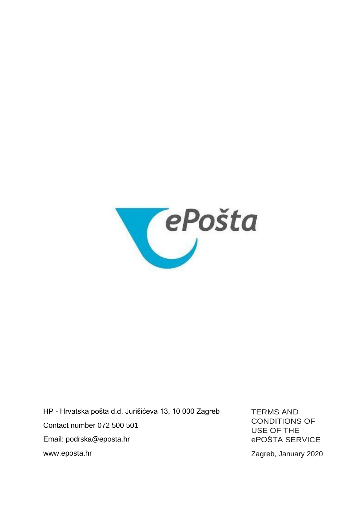

HP - Hrvatska pošta d.d. Jurišićeva 13, 10 000 Zagreb Contact number 072 500 501 Email: [podrska@eposta.hr](mailto:podrska@eposta.hr) [www.eposta.hr](http://www.eposta.hr/)

TERMS AND CONDITIONS OF USE OF THE ePOŠTA SERVICE

Zagreb, January 2020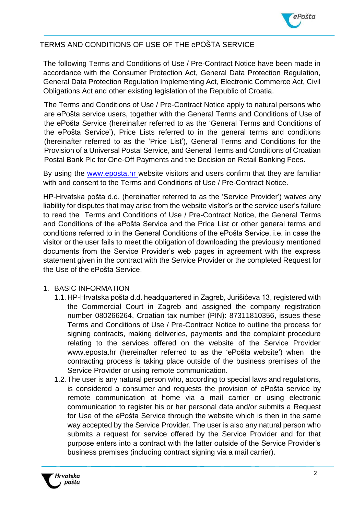

# TERMS AND CONDITIONS OF USE OF THE ePOŠTA SERVICE

The following Terms and Conditions of Use / Pre-Contract Notice have been made in accordance with the Consumer Protection Act, General Data Protection Regulation, General Data Protection Regulation Implementing Act, Electronic Commerce Act, Civil Obligations Act and other existing legislation of the Republic of Croatia.

The Terms and Conditions of Use / Pre-Contract Notice apply to natural persons who are ePošta service users, together with the General Terms and Conditions of Use of the ePošta Service (hereinafter referred to as the 'General Terms and Conditions of the ePošta Service'), Price Lists referred to in the general terms and conditions (hereinafter referred to as the 'Price List'), General Terms and Conditions for the Provision of a Universal Postal Service, and General Terms and Conditions of Croatian Postal Bank Plc for One-Off Payments and the Decision on Retail Banking Fees.

By using the www.eposta.hr website visitors and users confirm that they are familiar with and consent to the Terms and Conditions of Use / Pre-Contract Notice.

HP-Hrvatska pošta d.d. (hereinafter referred to as the 'Service Provider') waives any liability for disputes that may arise from the website visitor's or the service user's failure to read the Terms and Conditions of Use / Pre-Contract Notice, the General Terms and Conditions of the ePošta Service and the Price List or other general terms and conditions referred to in the General Conditions of the ePošta Service, i.e. in case the visitor or the user fails to meet the obligation of downloading the previously mentioned documents from the Service Provider's web pages in agreement with the express statement given in the contract with the Service Provider or the completed Request for the Use of the ePošta Service.

#### 1. BASIC INFORMATION

- 1.1. HP-Hrvatska pošta d.d. headquartered in Zagreb, Jurišićeva 13, registered with the Commercial Court in Zagreb and assigned the company registration number 080266264, Croatian tax number (PIN): 87311810356, issues these Terms and Conditions of Use / Pre-Contract Notice to outline the process for signing contracts, making deliveries, payments and the complaint procedure relating to the services offered on the website of the Service Provider [www.eposta.hr \(](http://www.eposta.hr/)hereinafter referred to as the 'ePošta website') when the contracting process is taking place outside of the business premises of the Service Provider or using remote communication.
- 1.2. The user is any natural person who, according to special laws and regulations, is considered a consumer and requests the provision of ePošta service by remote communication at home via a mail carrier or using electronic communication to register his or her personal data and/or submits a Request for Use of the ePošta Service through the website which is then in the same way accepted by the Service Provider. The user is also any natural person who submits a request for service offered by the Service Provider and for that purpose enters into a contract with the latter outside of the Service Provider's business premises (including contract signing via a mail carrier).

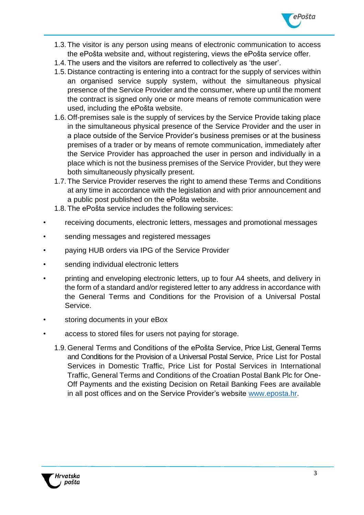

- 1.3. The visitor is any person using means of electronic communication to access the ePošta website and, without registering, views the ePošta service offer.
- 1.4. The users and the visitors are referred to collectively as 'the user'.
- 1.5. Distance contracting is entering into a contract for the supply of services within an organised service supply system, without the simultaneous physical presence of the Service Provider and the consumer, where up until the moment the contract is signed only one or more means of remote communication were used, including the ePošta website.
- 1.6. Off-premises sale is the supply of services by the Service Provide taking place in the simultaneous physical presence of the Service Provider and the user in a place outside of the Service Provider's business premises or at the business premises of a trader or by means of remote communication, immediately after the Service Provider has approached the user in person and individually in a place which is not the business premises of the Service Provider, but they were both simultaneously physically present.
- 1.7. The Service Provider reserves the right to amend these Terms and Conditions at any time in accordance with the legislation and with prior announcement and a public post published on the ePošta website.
- 1.8. The ePošta service includes the following services:
- receiving documents, electronic letters, messages and promotional messages
- sending messages and registered messages
- paying HUB orders via IPG of the Service Provider
- sending individual electronic letters
- printing and enveloping electronic letters, up to four A4 sheets, and delivery in the form of a standard and/or registered letter to any address in accordance with the General Terms and Conditions for the Provision of a Universal Postal Service.
- storing documents in your eBox
- access to stored files for users not paying for storage.
	- 1.9. General Terms and Conditions of the ePošta Service, Price List, General Terms and Conditions for the Provision of a Universal Postal Service, Price List for Postal Services in Domestic Traffic, Price List for Postal Services in International Traffic, General Terms and Conditions of the Croatian Postal Bank Plc for One-Off Payments and the existing Decision on Retail Banking Fees are available in all post offices and on the Service Provider's website [www.eposta.hr.](http://www.eposta.hr/)

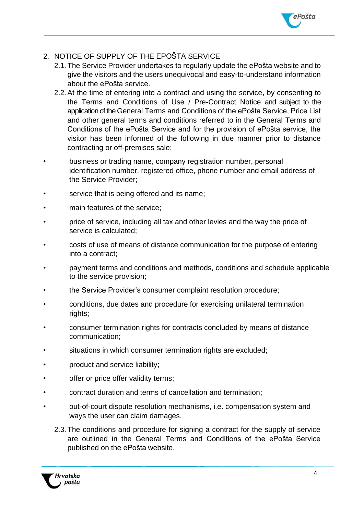

# 2. NOTICE OF SUPPLY OF THE EPOŠTA SERVICE

- 2.1. The Service Provider undertakes to regularly update the ePošta website and to give the visitors and the users unequivocal and easy-to-understand information about the ePošta service.
- 2.2.At the time of entering into a contract and using the service, by consenting to the Terms and Conditions of Use / Pre-Contract Notice and subject to the application of the General Terms and Conditions of the ePošta Service, Price List and other general terms and conditions referred to in the General Terms and Conditions of the ePošta Service and for the provision of ePošta service, the visitor has been informed of the following in due manner prior to distance contracting or off-premises sale:
- business or trading name, company registration number, personal identification number, registered office, phone number and email address of the Service Provider;
- service that is being offered and its name;
- main features of the service:
- price of service, including all tax and other levies and the way the price of service is calculated;
- costs of use of means of distance communication for the purpose of entering into a contract;
- payment terms and conditions and methods, conditions and schedule applicable to the service provision;
- the Service Provider's consumer complaint resolution procedure;
- conditions, due dates and procedure for exercising unilateral termination rights;
- consumer termination rights for contracts concluded by means of distance communication;
- situations in which consumer termination rights are excluded;
- product and service liability;
- offer or price offer validity terms;
- contract duration and terms of cancellation and termination;
- out-of-court dispute resolution mechanisms, i.e. compensation system and ways the user can claim damages.
	- 2.3. The conditions and procedure for signing a contract for the supply of service are outlined in the General Terms and Conditions of the ePošta Service published on the ePošta website.

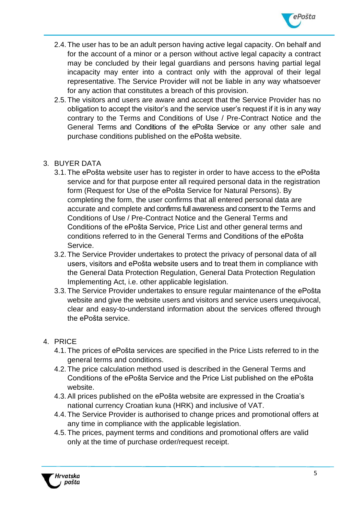

- 2.4. The user has to be an adult person having active legal capacity. On behalf and for the account of a minor or a person without active legal capacity a contract may be concluded by their legal guardians and persons having partial legal incapacity may enter into a contract only with the approval of their legal representative. The Service Provider will not be liable in any way whatsoever for any action that constitutes a breach of this provision.
- 2.5. The visitors and users are aware and accept that the Service Provider has no obligation to accept the visitor's and the service user's request if it is in any way contrary to the Terms and Conditions of Use / Pre-Contract Notice and the General Terms and Conditions of the ePošta Service or any other sale and purchase conditions published on the ePošta website.

# 3. BUYER DATA

- 3.1. The ePošta website user has to register in order to have access to the ePošta service and for that purpose enter all required personal data in the registration form (Request for Use of the ePošta Service for Natural Persons). By completing the form, the user confirms that all entered personal data are accurate and complete and confirms full awareness and consent to the Terms and Conditions of Use / Pre-Contract Notice and the General Terms and Conditions of the ePošta Service, Price List and other general terms and conditions referred to in the General Terms and Conditions of the ePošta Service.
- 3.2. The Service Provider undertakes to protect the privacy of personal data of all users, visitors and ePošta website users and to treat them in compliance with the General Data Protection Regulation, General Data Protection Regulation Implementing Act, i.e. other applicable legislation.
- 3.3. The Service Provider undertakes to ensure regular maintenance of the ePošta website and give the website users and visitors and service users unequivocal, clear and easy-to-understand information about the services offered through the ePošta service.

### 4. PRICE

- 4.1. The prices of ePošta services are specified in the Price Lists referred to in the general terms and conditions.
- 4.2. The price calculation method used is described in the General Terms and Conditions of the ePošta Service and the Price List published on the ePošta website.
- 4.3.All prices published on the ePošta website are expressed in the Croatia's national currency Croatian kuna (HRK) and inclusive of VAT.
- 4.4. The Service Provider is authorised to change prices and promotional offers at any time in compliance with the applicable legislation.
- 4.5. The prices, payment terms and conditions and promotional offers are valid only at the time of purchase order/request receipt.

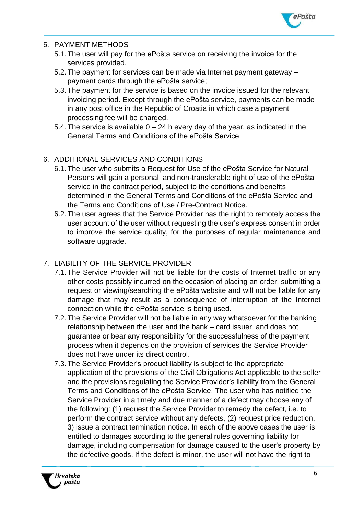

## 5. PAYMENT METHODS

- 5.1. The user will pay for the ePošta service on receiving the invoice for the services provided.
- 5.2. The payment for services can be made via Internet payment gateway payment cards through the ePošta service;
- 5.3. The payment for the service is based on the invoice issued for the relevant invoicing period. Except through the ePošta service, payments can be made in any post office in the Republic of Croatia in which case a payment processing fee will be charged.
- 5.4. The service is available  $0 24$  h every day of the year, as indicated in the General Terms and Conditions of the ePošta Service.

# 6. ADDITIONAL SERVICES AND CONDITIONS

- 6.1. The user who submits a Request for Use of the ePošta Service for Natural Persons will gain a personal and non-transferable right of use of the ePošta service in the contract period, subject to the conditions and benefits determined in the General Terms and Conditions of the ePošta Service and the Terms and Conditions of Use / Pre-Contract Notice.
- 6.2. The user agrees that the Service Provider has the right to remotely access the user account of the user without requesting the user's express consent in order to improve the service quality, for the purposes of regular maintenance and software upgrade.

# 7. LIABILITY OF THE SERVICE PROVIDER

- 7.1. The Service Provider will not be liable for the costs of Internet traffic or any other costs possibly incurred on the occasion of placing an order, submitting a request or viewing/searching the ePošta website and will not be liable for any damage that may result as a consequence of interruption of the Internet connection while the ePošta service is being used.
- 7.2. The Service Provider will not be liable in any way whatsoever for the banking relationship between the user and the bank – card issuer, and does not guarantee or bear any responsibility for the successfulness of the payment process when it depends on the provision of services the Service Provider does not have under its direct control.
- 7.3. The Service Provider's product liability is subject to the appropriate application of the provisions of the Civil Obligations Act applicable to the seller and the provisions regulating the Service Provider's liability from the General Terms and Conditions of the ePošta Service. The user who has notified the Service Provider in a timely and due manner of a defect may choose any of the following: (1) request the Service Provider to remedy the defect, i.e. to perform the contract service without any defects, (2) request price reduction, 3) issue a contract termination notice. In each of the above cases the user is entitled to damages according to the general rules governing liability for damage, including compensation for damage caused to the user's property by the defective goods. If the defect is minor, the user will not have the right to

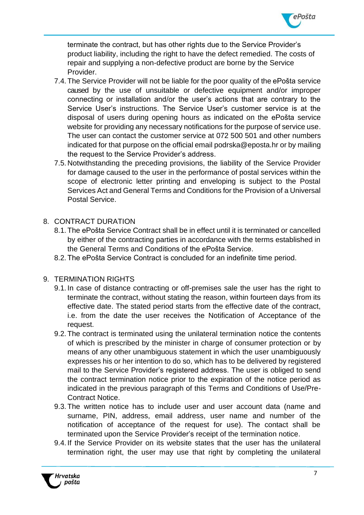

terminate the contract, but has other rights due to the Service Provider's product liability, including the right to have the defect remedied. The costs of repair and supplying a non-defective product are borne by the Service Provider.

- 7.4. The Service Provider will not be liable for the poor quality of the ePošta service caused by the use of unsuitable or defective equipment and/or improper connecting or installation and/or the user's actions that are contrary to the Service User's instructions. The Service User's customer service is at the disposal of users during opening hours as indicated on the ePošta service website for providing any necessary notifications for the purpose of service use. The user can contact the customer service at 072 500 501 and other numbers indicated for that purpose on the official email [podrska@eposta.hr o](mailto:podrska@eposta.hr)r by mailing the request to the Service Provider's address.
- 7.5. Notwithstanding the preceding provisions, the liability of the Service Provider for damage caused to the user in the performance of postal services within the scope of electronic letter printing and enveloping is subject to the Postal Services Act and General Terms and Conditions for the Provision of a Universal Postal Service.

### 8. CONTRACT DURATION

- 8.1. The ePošta Service Contract shall be in effect until it is terminated or cancelled by either of the contracting parties in accordance with the terms established in the General Terms and Conditions of the ePošta Service.
- 8.2. The ePošta Service Contract is concluded for an indefinite time period.
- 9. TERMINATION RIGHTS
	- 9.1. In case of distance contracting or off-premises sale the user has the right to terminate the contract, without stating the reason, within fourteen days from its effective date. The stated period starts from the effective date of the contract, i.e. from the date the user receives the Notification of Acceptance of the request.
	- 9.2. The contract is terminated using the unilateral termination notice the contents of which is prescribed by the minister in charge of consumer protection or by means of any other unambiguous statement in which the user unambiguously expresses his or her intention to do so, which has to be delivered by registered mail to the Service Provider's registered address. The user is obliged to send the contract termination notice prior to the expiration of the notice period as indicated in the previous paragraph of this Terms and Conditions of Use/Pre-Contract Notice.
	- 9.3. The written notice has to include user and user account data (name and surname, PIN, address, email address, user name and number of the notification of acceptance of the request for use). The contact shall be terminated upon the Service Provider's receipt of the termination notice.
	- 9.4. If the Service Provider on its website states that the user has the unilateral termination right, the user may use that right by completing the unilateral

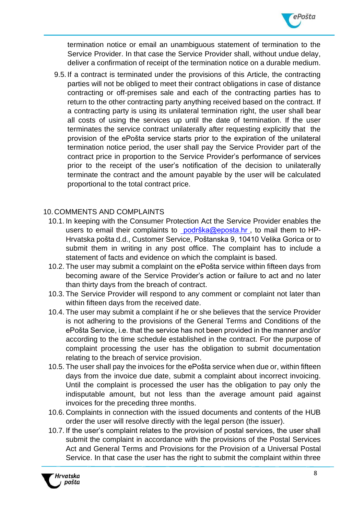

termination notice or email an unambiguous statement of termination to the Service Provider. In that case the Service Provider shall, without undue delay, deliver a confirmation of receipt of the termination notice on a durable medium.

9.5. If a contract is terminated under the provisions of this Article, the contracting parties will not be obliged to meet their contract obligations in case of distance contracting or off-premises sale and each of the contracting parties has to return to the other contracting party anything received based on the contract. If a contracting party is using its unilateral termination right, the user shall bear all costs of using the services up until the date of termination. If the user terminates the service contract unilaterally after requesting explicitly that the provision of the ePošta service starts prior to the expiration of the unilateral termination notice period, the user shall pay the Service Provider part of the contract price in proportion to the Service Provider's performance of services prior to the receipt of the user's notification of the decision to unilaterally terminate the contract and the amount payable by the user will be calculated proportional to the total contract price.

### 10. COMMENTS AND COMPLAINTS

- 10.1. In keeping with the Consumer Protection Act the Service Provider enables the users to email their complaints to [podrška@eposta.hr](mailto:%20podrška@eposta.hr), to mail them to HP-Hrvatska pošta d.d., Customer Service, Poštanska 9, 10410 Velika Gorica or to submit them in writing in any post office. The complaint has to include a statement of facts and evidence on which the complaint is based.
- 10.2. The user may submit a complaint on the ePošta service within fifteen days from becoming aware of the Service Provider's action or failure to act and no later than thirty days from the breach of contract.
- 10.3. The Service Provider will respond to any comment or complaint not later than within fifteen days from the received date.
- 10.4. The user may submit a complaint if he or she believes that the service Provider is not adhering to the provisions of the General Terms and Conditions of the ePošta Service, i.e. that the service has not been provided in the manner and/or according to the time schedule established in the contract. For the purpose of complaint processing the user has the obligation to submit documentation relating to the breach of service provision.
- 10.5. The user shall pay the invoices for the ePošta service when due or, within fifteen days from the invoice due date, submit a complaint about incorrect invoicing. Until the complaint is processed the user has the obligation to pay only the indisputable amount, but not less than the average amount paid against invoices for the preceding three months.
- 10.6. Complaints in connection with the issued documents and contents of the HUB order the user will resolve directly with the legal person (the issuer).
- 10.7. If the user's complaint relates to the provision of postal services, the user shall submit the complaint in accordance with the provisions of the Postal Services Act and General Terms and Provisions for the Provision of a Universal Postal Service. In that case the user has the right to submit the complaint within three

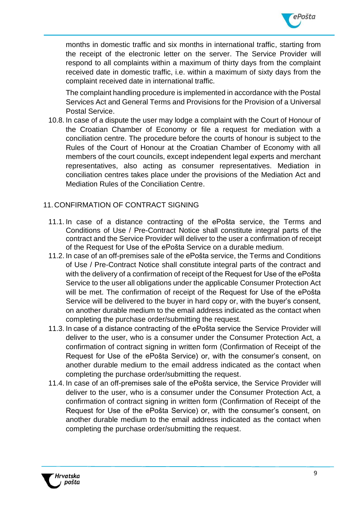

months in domestic traffic and six months in international traffic, starting from the receipt of the electronic letter on the server. The Service Provider will respond to all complaints within a maximum of thirty days from the complaint received date in domestic traffic, i.e. within a maximum of sixty days from the complaint received date in international traffic.

The complaint handling procedure is implemented in accordance with the Postal Services Act and General Terms and Provisions for the Provision of a Universal Postal Service.

10.8. In case of a dispute the user may lodge a complaint with the Court of Honour of the Croatian Chamber of Economy or file a request for mediation with a conciliation centre. The procedure before the courts of honour is subject to the Rules of the Court of Honour at the Croatian Chamber of Economy with all members of the court councils, except independent legal experts and merchant representatives, also acting as consumer representatives. Mediation in conciliation centres takes place under the provisions of the Mediation Act and Mediation Rules of the Conciliation Centre.

# 11. CONFIRMATION OF CONTRACT SIGNING

- 11.1. In case of a distance contracting of the ePošta service, the Terms and Conditions of Use / Pre-Contract Notice shall constitute integral parts of the contract and the Service Provider will deliver to the user a confirmation of receipt of the Request for Use of the ePošta Service on a durable medium.
- 11.2. In case of an off-premises sale of the ePošta service, the Terms and Conditions of Use / Pre-Contract Notice shall constitute integral parts of the contract and with the delivery of a confirmation of receipt of the Request for Use of the ePošta Service to the user all obligations under the applicable Consumer Protection Act will be met. The confirmation of receipt of the Request for Use of the ePošta Service will be delivered to the buyer in hard copy or, with the buyer's consent, on another durable medium to the email address indicated as the contact when completing the purchase order/submitting the request.
- 11.3. In case of a distance contracting of the ePošta service the Service Provider will deliver to the user, who is a consumer under the Consumer Protection Act, a confirmation of contract signing in written form (Confirmation of Receipt of the Request for Use of the ePošta Service) or, with the consumer's consent, on another durable medium to the email address indicated as the contact when completing the purchase order/submitting the request.
- 11.4. In case of an off-premises sale of the ePošta service, the Service Provider will deliver to the user, who is a consumer under the Consumer Protection Act, a confirmation of contract signing in written form (Confirmation of Receipt of the Request for Use of the ePošta Service) or, with the consumer's consent, on another durable medium to the email address indicated as the contact when completing the purchase order/submitting the request.